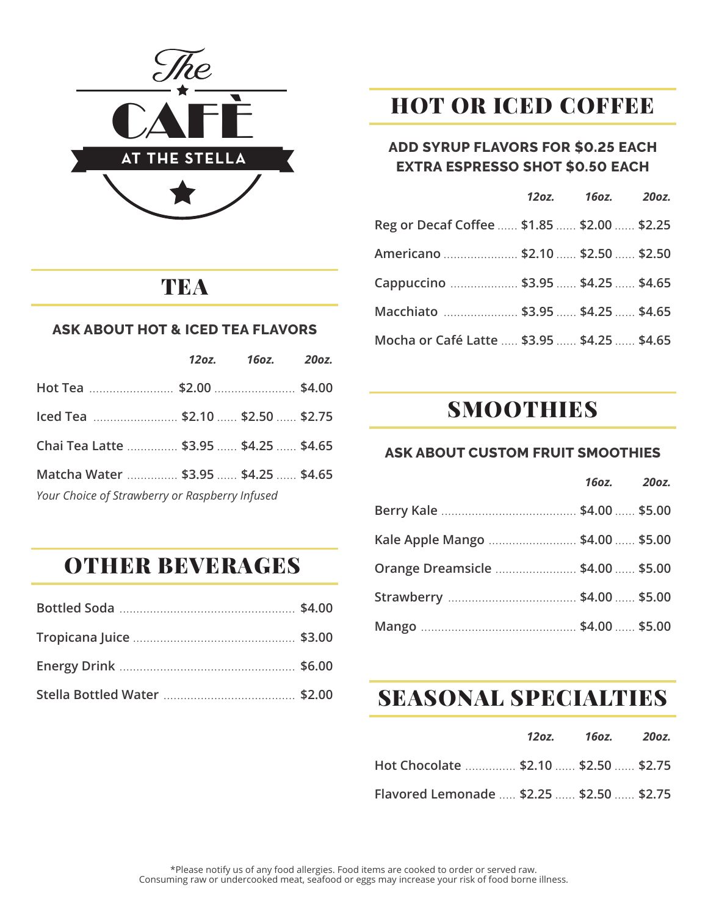

### **TEA**

#### **ASK ABOUT HOT & ICED TEA FLAVORS**

|                                                | 12oz. 16oz. 20oz. |  |
|------------------------------------------------|-------------------|--|
|                                                |                   |  |
| lced Tea  \$2.10  \$2.50  \$2.75               |                   |  |
| Chai Tea Latte  \$3.95  \$4.25  \$4.65         |                   |  |
| Matcha Water  \$3.95  \$4.25  \$4.65           |                   |  |
| Your Choice of Strawberry or Raspberry Infused |                   |  |

## OTHER BEVERAGES

## HOT OR ICED COFFEE

#### **ADD SYRUP FLAVORS FOR \$0.25 EACH EXTRA ESPRESSO SHOT \$0.50 EACH**

|                                             | 12oz. 16oz. 20oz. |  |
|---------------------------------------------|-------------------|--|
| Reg or Decaf Coffee  \$1.85  \$2.00  \$2.25 |                   |  |
| Americano  \$2.10  \$2.50  \$2.50           |                   |  |
| Cappuccino  \$3.95  \$4.25  \$4.65          |                   |  |
| Macchiato  \$3.95  \$4.25  \$4.65           |                   |  |
| Mocha or Café Latte  \$3.95  \$4.25  \$4.65 |                   |  |

### SMOOTHIES

#### **ASK ABOUT CUSTOM FRUIT SMOOTHIES**

 *16oz. 20oz.* 

| Kale Apple Mango  \$4.00  \$5.00  |  |
|-----------------------------------|--|
| Orange Dreamsicle  \$4.00  \$5.00 |  |
|                                   |  |
|                                   |  |

## SEASONAL SPECIALTIES

|                                           | 120z. 160z. 200z. |  |
|-------------------------------------------|-------------------|--|
| Hot Chocolate  \$2.10  \$2.50  \$2.75     |                   |  |
| Flavored Lemonade  \$2.25  \$2.50  \$2.75 |                   |  |